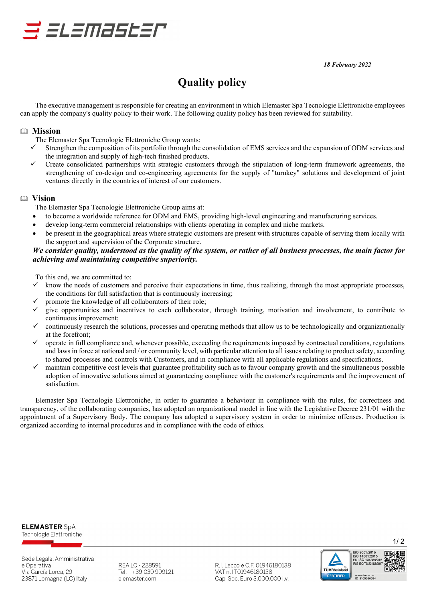*18 February 2022*

# **Quality policy**

The executive management is responsible for creating an environment in which Elemaster Spa Tecnologie Elettroniche employees can apply the company's quality policy to their work. The following quality policy has been reviewed for suitability.

#### **Mission**

The Elemaster Spa Tecnologie Elettroniche Group wants:

s slamastar

- Strengthen the composition of its portfolio through the consolidation of EMS services and the expansion of ODM services and the integration and supply of high-tech finished products.
- Create consolidated partnerships with strategic customers through the stipulation of long-term framework agreements, the strengthening of co-design and co-engineering agreements for the supply of "turnkey" solutions and development of joint ventures directly in the countries of interest of our customers.

#### **Vision**

The Elemaster Spa Tecnologie Elettroniche Group aims at:

- to become a worldwide reference for ODM and EMS, providing high-level engineering and manufacturing services.
- develop long-term commercial relationships with clients operating in complex and niche markets.
- be present in the geographical areas where strategic customers are present with structures capable of serving them locally with the support and supervision of the Corporate structure.

#### *We consider quality, understood as the quality of the system, or rather of all business processes, the main factor for achieving and maintaining competitive superiority.*

To this end, we are committed to:

- know the needs of customers and perceive their expectations in time, thus realizing, through the most appropriate processes, the conditions for full satisfaction that is continuously increasing;
- promote the knowledge of all collaborators of their role;
- give opportunities and incentives to each collaborator, through training, motivation and involvement, to contribute to continuous improvement;
- continuously research the solutions, processes and operating methods that allow us to be technologically and organizationally at the forefront;
- operate in full compliance and, whenever possible, exceeding the requirements imposed by contractual conditions, regulations and laws in force at national and / or community level, with particular attention to all issues relating to product safety, according to shared processes and controls with Customers, and in compliance with all applicable regulations and specifications.
- maintain competitive cost levels that guarantee profitability such as to favour company growth and the simultaneous possible adoption of innovative solutions aimed at guaranteeing compliance with the customer's requirements and the improvement of satisfaction.

Elemaster Spa Tecnologie Elettroniche, in order to guarantee a behaviour in compliance with the rules, for correctness and transparency, of the collaborating companies, has adopted an organizational model in line with the Legislative Decree 231/01 with the appointment of a Supervisory Body. The company has adopted a supervisory system in order to minimize offenses. Production is organized according to internal procedures and in compliance with the code of ethics.



Sede Legale, Amministrativa e Operativa Via García Lorca, 29 23871 Lomagna (LC) Italy

REA LC - 228591 Tel. +39 039 999121 elemaster.com

R.I. Lecco e C.F. 01946180138 VAT n. IT01946180138 Cap. Soc. Euro 3.000.000 i.v.



 $1/2$